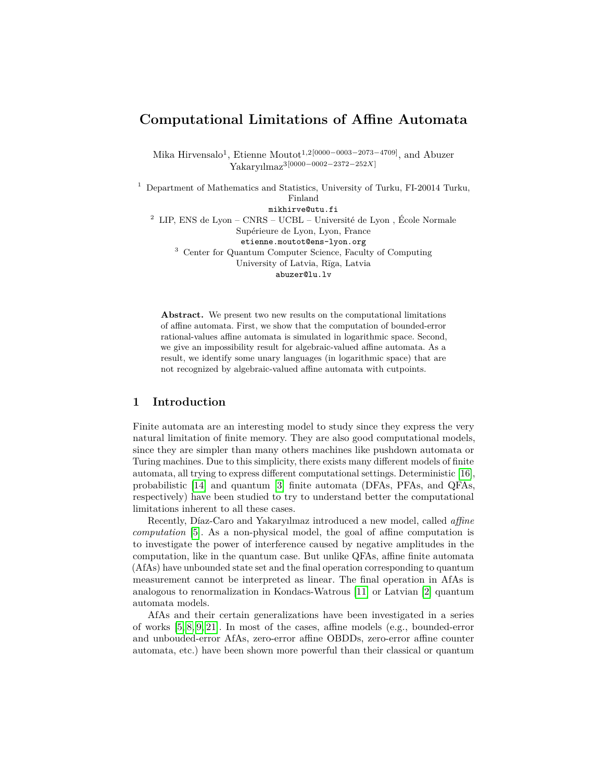# **Computational Limitations of Affine Automata**

Mika Hirvensalo<sup>1</sup>, Etienne Moutot<sup>1,2[0000–0003–2073–4709]<sub>,</sub> and Abuzer</sup> Yakaryılmaz3[0000−0002−2372−252*X*]

<sup>1</sup> Department of Mathematics and Statistics, University of Turku, FI-20014 Turku, Finland mikhirve@utu.fi  $^2\,$  LIP, ENS de Lyon – CNRS – UCBL – Université de Lyon , École Normale Supérieure de Lyon, Lyon, France etienne.moutot@ens-lyon.org <sup>3</sup> Center for Quantum Computer Science, Faculty of Computing University of Latvia, Rīga, Latvia abuzer@lu.lv

**Abstract.** We present two new results on the computational limitations of affine automata. First, we show that the computation of bounded-error rational-values affine automata is simulated in logarithmic space. Second, we give an impossibility result for algebraic-valued affine automata. As a result, we identify some unary languages (in logarithmic space) that are not recognized by algebraic-valued affine automata with cutpoints.

# **1 Introduction**

Finite automata are an interesting model to study since they express the very natural limitation of finite memory. They are also good computational models, since they are simpler than many others machines like pushdown automata or Turing machines. Due to this simplicity, there exists many different models of finite automata, all trying to express different computational settings. Deterministic [\[16\]](#page-13-0), probabilistic [\[14\]](#page-13-1) and quantum [\[3\]](#page-13-2) finite automata (DFAs, PFAs, and QFAs, respectively) have been studied to try to understand better the computational limitations inherent to all these cases.

Recently, Díaz-Caro and Yakaryılmaz introduced a new model, called *affine computation* [\[5\]](#page-13-3). As a non-physical model, the goal of affine computation is to investigate the power of interference caused by negative amplitudes in the computation, like in the quantum case. But unlike QFAs, affine finite automata (AfAs) have unbounded state set and the final operation corresponding to quantum measurement cannot be interpreted as linear. The final operation in AfAs is analogous to renormalization in Kondacs-Watrous [\[11\]](#page-13-4) or Latvian [\[2\]](#page-12-0) quantum automata models.

AfAs and their certain generalizations have been investigated in a series of works [\[5,](#page-13-3) [8,](#page-13-5) [9,](#page-13-6) [21\]](#page-13-7). In most of the cases, affine models (e.g., bounded-error and unbouded-error AfAs, zero-error affine OBDDs, zero-error affine counter automata, etc.) have been shown more powerful than their classical or quantum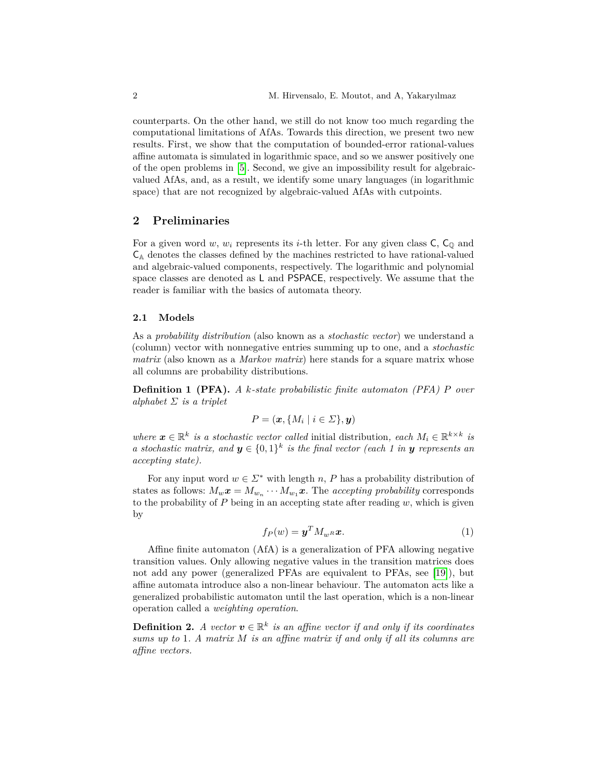counterparts. On the other hand, we still do not know too much regarding the computational limitations of AfAs. Towards this direction, we present two new results. First, we show that the computation of bounded-error rational-values affine automata is simulated in logarithmic space, and so we answer positively one of the open problems in [\[5\]](#page-13-3). Second, we give an impossibility result for algebraicvalued AfAs, and, as a result, we identify some unary languages (in logarithmic space) that are not recognized by algebraic-valued AfAs with cutpoints.

# **2 Preliminaries**

For a given word *w*,  $w_i$  represents its *i*-th letter. For any given class  $C$ ,  $C_Q$  and  $C_A$  denotes the classes defined by the machines restricted to have rational-valued and algebraic-valued components, respectively. The logarithmic and polynomial space classes are denoted as L and PSPACE, respectively. We assume that the reader is familiar with the basics of automata theory.

#### **2.1 Models**

As a *probability distribution* (also known as a *stochastic vector*) we understand a (column) vector with nonnegative entries summing up to one, and a *stochastic matrix* (also known as a *Markov matrix*) here stands for a square matrix whose all columns are probability distributions.

**Definition 1 (PFA).** *A k-state probabilistic finite automaton (PFA) P over alphabet Σ is a triplet*

$$
P=(\boldsymbol{x},\{M_i\mid i\in\mathcal{Z}\},\boldsymbol{y})
$$

*where*  $\mathbf{x} \in \mathbb{R}^k$  *is a stochastic vector called* initial distribution, each  $M_i \in \mathbb{R}^{k \times k}$  is *a* stochastic matrix, and  $y \in \{0,1\}^k$  is the final vector (each 1 in y represents an *accepting state).*

<span id="page-1-0"></span>For any input word  $w \in \Sigma^*$  with length *n*, *P* has a probability distribution of states as follows:  $M_w \mathbf{x} = M_{w_n} \cdots M_{w_1} \mathbf{x}$ . The *accepting probability* corresponds to the probability of *P* being in an accepting state after reading *w*, which is given by

$$
f_P(w) = \mathbf{y}^T M_{wR} \mathbf{x}.\tag{1}
$$

Affine finite automaton (AfA) is a generalization of PFA allowing negative transition values. Only allowing negative values in the transition matrices does not add any power (generalized PFAs are equivalent to PFAs, see [\[19\]](#page-13-8)), but affine automata introduce also a non-linear behaviour. The automaton acts like a generalized probabilistic automaton until the last operation, which is a non-linear operation called a *weighting operation*.

**Definition 2.** *A vector*  $v \in \mathbb{R}^k$  *is an affine vector if and only if its coordinates sums up to* 1*. A matrix M is an affine matrix if and only if all its columns are affine vectors.*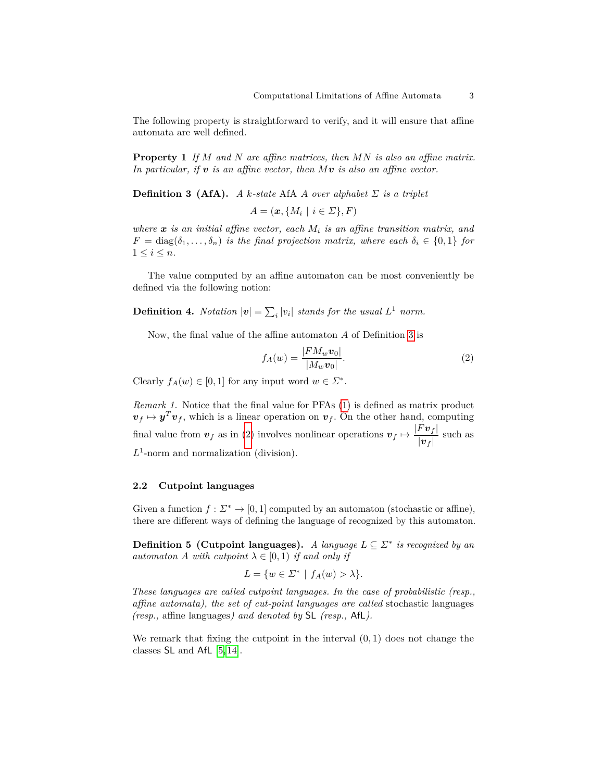The following property is straightforward to verify, and it will ensure that affine automata are well defined.

**Property 1** *If M and N are affine matrices, then MN is also an affine matrix. In particular, if v is an affine vector, then Mv is also an affine vector.*

<span id="page-2-0"></span>**Definition 3 (AfA).** *A k*-state AfA *A over alphabet*  $\Sigma$  *is a triplet* 

$$
A = (\boldsymbol{x}, \{M_i \mid i \in \Sigma\}, F)
$$

*where x is an initial affine vector, each M<sup>i</sup> is an affine transition matrix, and*  $F = \text{diag}(\delta_1, \ldots, \delta_n)$  *is the final projection matrix, where each*  $\delta_i \in \{0, 1\}$  *for*  $1 \leq i \leq n$ .

The value computed by an affine automaton can be most conveniently be defined via the following notion:

**Definition 4.** *Notation*  $|\mathbf{v}| = \sum_i |v_i|$  *stands for the usual*  $L^1$  *norm.* 

Now, the final value of the affine automaton *A* of Definition [3](#page-2-0) is

<span id="page-2-1"></span>
$$
f_A(w) = \frac{|FM_w\mathbf{v}_0|}{|M_w\mathbf{v}_0|}.\tag{2}
$$

Clearly  $f_A(w) \in [0,1]$  for any input word  $w \in \Sigma^*$ .

*Remark 1.* Notice that the final value for PFAs [\(1\)](#page-1-0) is defined as matrix product  $v_f \mapsto y^T v_f$ , which is a linear operation on  $v_f$ . On the other hand, computing final value from  $v_f$  as in [\(2\)](#page-2-1) involves nonlinear operations  $v_f \mapsto \frac{|F v_f|}{|v_f|}$  $\frac{|\mathbf{v}_f|}{|\mathbf{v}_f|}$  such as *L* 1 -norm and normalization (division).

#### **2.2 Cutpoint languages**

Given a function  $f: \Sigma^* \to [0,1]$  computed by an automaton (stochastic or affine), there are different ways of defining the language of recognized by this automaton.

**Definition 5** (Cutpoint languages). A language  $L \subseteq \Sigma^*$  is recognized by an *automaton A with cutpoint*  $\lambda \in [0, 1)$  *if and only if* 

$$
L = \{ w \in \Sigma^* \mid f_A(w) > \lambda \}.
$$

*These languages are called cutpoint languages. In the case of probabilistic (resp., affine automata), the set of cut-point languages are called* stochastic languages *(resp.,* affine languages*) and denoted by* SL *(resp.,* AfL*).*

We remark that fixing the cutpoint in the interval (0*,* 1) does not change the classes SL and AfL [\[5,](#page-13-3) [14\]](#page-13-1).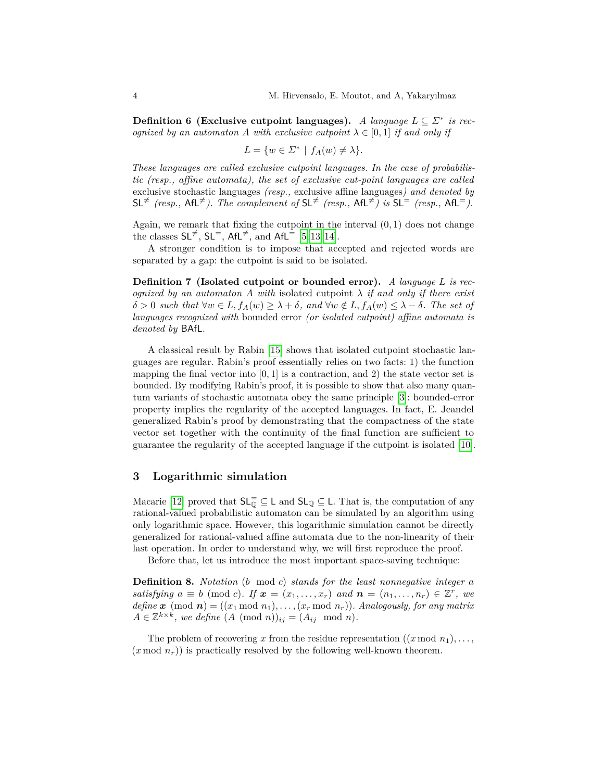**Definition 6** (Exclusive cutpoint languages). *A language*  $L \subseteq \Sigma^*$  *is recognized by an automaton A with exclusive cutpoint*  $\lambda \in [0,1]$  *if and only if* 

$$
L = \{ w \in \Sigma^* \mid f_A(w) \neq \lambda \}.
$$

*These languages are called exclusive cutpoint languages. In the case of probabilistic (resp., affine automata), the set of exclusive cut-point languages are called* exclusive stochastic languages *(resp.,* exclusive affine languages*) and denoted by*  $SL^{\neq}$  *(resp.,* AfL<sup> $\neq$ </sup>). The complement of  $SL^{\neq}$  *(resp.,* AfL $^{\neq}$ ) is  $SL^{\equiv}$  *(resp.,* AfL<sup> $=$ </sup>).

Again, we remark that fixing the cutpoint in the interval (0*,* 1) does not change the classes  $SL^{\neq}$ ,  $SL^{\equiv}$ ,  $AfL^{\neq}$ , and  $AfL^{\equiv}$  [\[5,](#page-13-3) [13,](#page-13-9) [14\]](#page-13-1).

A stronger condition is to impose that accepted and rejected words are separated by a gap: the cutpoint is said to be isolated.

**Definition 7 (Isolated cutpoint or bounded error).** *A language L is recognized by an automaton A with* isolated cutpoint  $\lambda$  *if and only if there exist*  $\delta > 0$  *such that*  $\forall w \in L$ ,  $f_A(w) \geq \lambda + \delta$ , and  $\forall w \notin L$ ,  $f_A(w) \leq \lambda - \delta$ . The set of *languages recognized with* bounded error *(or isolated cutpoint) affine automata is denoted by* BAfL*.*

A classical result by Rabin [\[15\]](#page-13-10) shows that isolated cutpoint stochastic languages are regular. Rabin's proof essentially relies on two facts: 1) the function mapping the final vector into  $[0, 1]$  is a contraction, and 2) the state vector set is bounded. By modifying Rabin's proof, it is possible to show that also many quantum variants of stochastic automata obey the same principle [\[3\]](#page-13-2): bounded-error property implies the regularity of the accepted languages. In fact, E. Jeandel generalized Rabin's proof by demonstrating that the compactness of the state vector set together with the continuity of the final function are sufficient to guarantee the regularity of the accepted language if the cutpoint is isolated [\[10\]](#page-13-11).

## **3 Logarithmic simulation**

Macarie [\[12\]](#page-13-12) proved that  $SL_0^{\pm} \subseteq L$  and  $SL_0 \subseteq L$ . That is, the computation of any rational-valued probabilistic automaton can be simulated by an algorithm using only logarithmic space. However, this logarithmic simulation cannot be directly generalized for rational-valued affine automata due to the non-linearity of their last operation. In order to understand why, we will first reproduce the proof.

Before that, let us introduce the most important space-saving technique:

**Definition 8.** *Notation* (*b* mod *c*) *stands for the least nonnegative integer a satisfying*  $a \equiv b \pmod{c}$ . If  $x = (x_1, \ldots, x_r)$  and  $n = (n_1, \ldots, n_r) \in \mathbb{Z}^r$ , we *define*  $\boldsymbol{x}$  (mod  $\boldsymbol{n}$ ) = (( $x_1 \mod n_1$ ), ..., ( $x_r \mod n_r$ )). Analogously, for any matrix  $A \in \mathbb{Z}^{k \times k}$ , we define  $(A \pmod{n})_{ij} = (A_{ij} \mod n)$ .

The problem of recovering x from the residue representation  $((x \mod n_1), \ldots,$  $(x \mod n_r)$  is practically resolved by the following well-known theorem.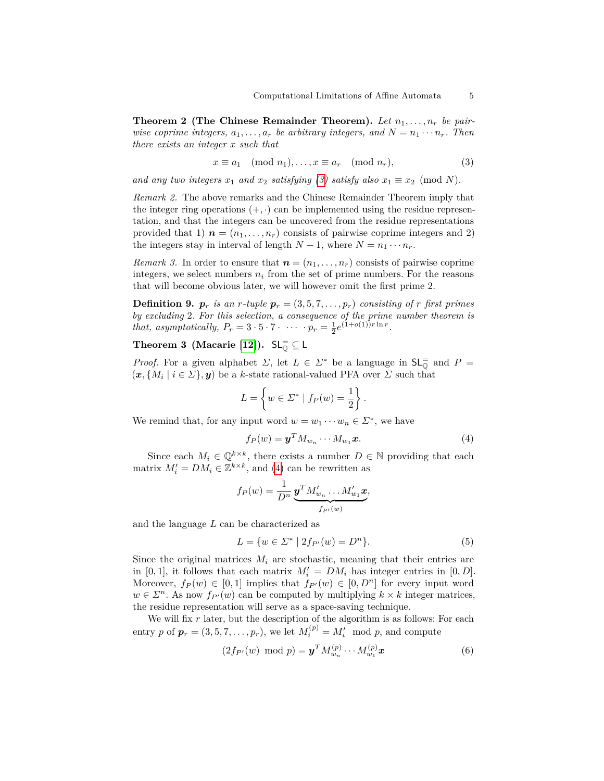**Theorem 2 (The Chinese Remainder Theorem).** *Let n*1*, . . . , n<sup>r</sup> be pairwise coprime integers,*  $a_1, \ldots, a_r$  *be arbitrary integers,* and  $N = n_1 \cdots n_r$ . Then *there exists an integer x such that*

<span id="page-4-0"></span>
$$
x \equiv a_1 \pmod{n_1}, \dots, x \equiv a_r \pmod{n_r},\tag{3}
$$

*and any two integers*  $x_1$  *and*  $x_2$  *satisfying* [\(3\)](#page-4-0) *satisfy also*  $x_1 \equiv x_2 \pmod{N}$ .

*Remark 2.* The above remarks and the Chinese Remainder Theorem imply that the integer ring operations  $(+, \cdot)$  can be implemented using the residue representation, and that the integers can be uncovered from the residue representations provided that 1)  $\mathbf{n} = (n_1, \ldots, n_r)$  consists of pairwise coprime integers and 2) the integers stay in interval of length  $N-1$ , where  $N = n_1 \cdots n_r$ .

*Remark 3.* In order to ensure that  $\mathbf{n} = (n_1, \ldots, n_r)$  consists of pairwise coprime integers, we select numbers  $n_i$  from the set of prime numbers. For the reasons that will become obvious later, we will however omit the first prime 2.

**Definition 9.**  $p_r$  *is an r-tuple*  $p_r = (3, 5, 7, \ldots, p_r)$  *consisting of r first primes by excluding* 2*. For this selection, a consequence of the prime number theorem is that, asymptotically,*  $P_r = 3 \cdot 5 \cdot 7 \cdot \cdots \cdot p_r = \frac{1}{2} e^{(1+o(1))r \ln r}$ .

<span id="page-4-3"></span>**Theorem 3** (Macarie [\[12\]](#page-13-12)).  $SL_0^- \subseteq L$ 

*Proof.* For a given alphabet *Σ*, let  $L \in \Sigma^*$  be a language in  $SL_0^-$  and  $P =$  $(\boldsymbol{x}, \{M_i \mid i \in \Sigma\}, \boldsymbol{y})$  be a *k*-state rational-valued PFA over  $\Sigma$  such that

$$
L = \left\{ w \in \Sigma^* \mid f_P(w) = \frac{1}{2} \right\}.
$$

We remind that, for any input word  $w = w_1 \cdots w_n \in \Sigma^*$ , we have

<span id="page-4-1"></span>
$$
f_P(w) = \mathbf{y}^T M_{w_n} \cdots M_{w_1} \mathbf{x}.
$$
 (4)

Since each  $M_i \in \mathbb{Q}^{k \times k}$ , there exists a number  $D \in \mathbb{N}$  providing that each matrix  $M'_i = DM_i \in \mathbb{Z}^{k \times k}$ , and [\(4\)](#page-4-1) can be rewritten as

$$
f_P(w) = \frac{1}{D^n} \underbrace{\boldsymbol{y}^T M'_{w_n} \dots M'_{w_1} \boldsymbol{x}}_{f_{P'}(w)},
$$

and the language *L* can be characterized as

$$
L = \{ w \in \Sigma^* \mid 2f_{P'}(w) = D^n \}.
$$
\n(5)

Since the original matrices  $M_i$  are stochastic, meaning that their entries are in [0, 1], it follows that each matrix  $M_i' = DM_i$  has integer entries in [0, D]. Moreover,  $f_P(w) \in [0,1]$  implies that  $f_{P'}(w) \in [0, D^n]$  for every input word  $w \in \Sigma^n$ . As now  $f_{P'}(w)$  can be computed by multiplying  $k \times k$  integer matrices, the residue representation will serve as a space-saving technique.

We will fix r later, but the description of the algorithm is as follows: For each entry *p* of  $p_r = (3, 5, 7, \ldots, p_r)$ , we let  $M_i^{(p)} = M_i'$  mod *p*, and compute

<span id="page-4-2"></span>
$$
(2f_{P'}(w) \text{ mod } p) = \mathbf{y}^T M_{w_n}^{(p)} \cdots M_{w_1}^{(p)} \mathbf{x}
$$
 (6)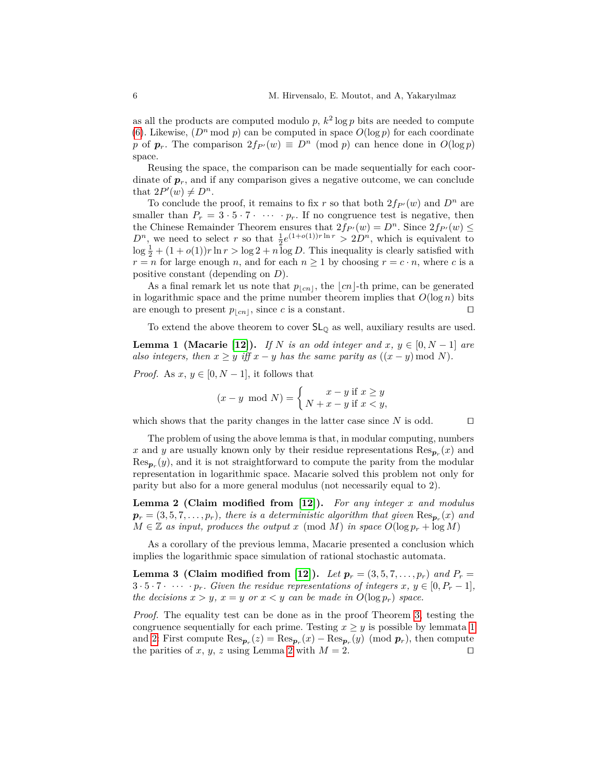as all the products are computed modulo  $p$ ,  $k^2 \log p$  bits are needed to compute [\(6\)](#page-4-2). Likewise,  $(D^n \mod p)$  can be computed in space  $O(\log p)$  for each coordinate *p* of  $p_r$ . The comparison  $2f_{P'}(w) \equiv D^n \pmod{p}$  can hence done in  $O(\log p)$ space.

Reusing the space, the comparison can be made sequentially for each coordinate of  $p_r$ , and if any comparison gives a negative outcome, we can conclude that  $2P'(w) \neq D^n$ .

To conclude the proof, it remains to fix *r* so that both  $2f_{P'}(w)$  and  $D^n$  are smaller than  $P_r = 3 \cdot 5 \cdot 7 \cdot \cdots \cdot p_r$ . If no congruence test is negative, then the Chinese Remainder Theorem ensures that  $2f_{P'}(w) = D^n$ . Since  $2f_{P'}(w) \le$  $D^n$ , we need to select *r* so that  $\frac{1}{2}e^{(1+o(1))r\ln r} > 2D^n$ , which is equivalent to  $\log \frac{1}{2} + (1 + o(1))r \ln r > \log 2 + n \log D$ . This inequality is clearly satisfied with  $r = n$  for large enough *n*, and for each  $n \ge 1$  by choosing  $r = c \cdot n$ , where *c* is a positive constant (depending on *D*).

As a final remark let us note that  $p_{|cn|}$ , the  $\lfloor cn \rfloor$ -th prime, can be generated in logarithmic space and the prime number theorem implies that  $O(\log n)$  bits are enough to present  $p_{|cn|}$ , since *c* is a constant.  $\square$ 

To extend the above theorem to cover  $SL_{\mathbb{Q}}$  as well, auxiliary results are used.

<span id="page-5-0"></span>**Lemma 1 (Macarie [\[12\]](#page-13-12)**). *If N is an odd integer and*  $x, y \in [0, N - 1]$  *are also integers, then*  $x \geq y$  *iff*  $x - y$  *has the same parity as*  $((x - y) \mod N)$ *.* 

*Proof.* As  $x, y \in [0, N-1]$ , it follows that

$$
(x - y \mod N) = \begin{cases} x - y & \text{if } x \ge y \\ N + x - y & \text{if } x < y, \end{cases}
$$

which shows that the parity changes in the latter case since  $N$  is odd.  $\square$ 

The problem of using the above lemma is that, in modular computing, numbers x and y are usually known only by their residue representations  $\text{Res}_{p_r}(x)$  and  $\text{Res}_{\boldsymbol{p}_r}(y)$ , and it is not straightforward to compute the parity from the modular representation in logarithmic space. Macarie solved this problem not only for parity but also for a more general modulus (not necessarily equal to 2).

<span id="page-5-1"></span>**Lemma 2 (Claim modified from [\[12\]](#page-13-12)).** *For any integer x and modulus*  $\boldsymbol{p}_r = (3, 5, 7, \ldots, p_r)$ , there is a deterministic algorithm that given  $\text{Res}_{\boldsymbol{p}_r}(x)$  and  $M \in \mathbb{Z}$  *as input, produces the output x* (mod *M*) *in space*  $O(\log p_r + \log M)$ 

As a corollary of the previous lemma, Macarie presented a conclusion which implies the logarithmic space simulation of rational stochastic automata.

<span id="page-5-2"></span>**Lemma 3 (Claim modified from [\[12\]](#page-13-12)**). Let  $p_r = (3, 5, 7, \ldots, p_r)$  and  $P_r =$  $3 \cdot 5 \cdot 7 \cdot \cdots \cdot p_r$ . Given the residue representations of integers  $x, y \in [0, P_r - 1]$ , *the decisions*  $x > y$ *,*  $x = y$  *or*  $x < y$  *can be made in*  $O(\log p_r)$  *space.* 

*Proof.* The equality test can be done as in the proof Theorem [3,](#page-4-3) testing the congruence sequentially for each prime. Testing  $x \geq y$  is possible by lemmata [1](#page-5-0) and [2:](#page-5-1) First compute  $\text{Res}_{p_r}(z) = \text{Res}_{p_r}(x) - \text{Res}_{p_r}(y) \pmod{p_r}$ , then compute the parities of *x*, *y*, *z* using Lemma [2](#page-5-1) with  $M = 2$ .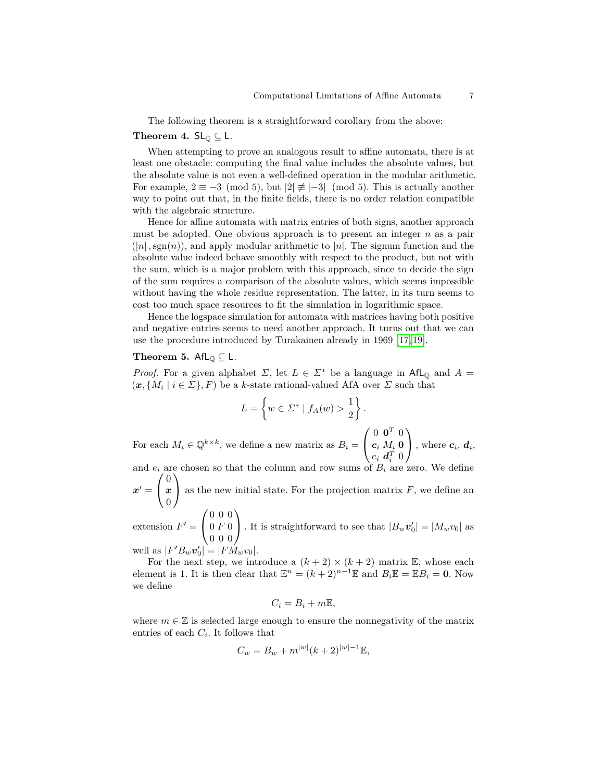The following theorem is a straightforward corollary from the above: **Theorem 4.**  $SL_0 \subseteq L$ .

When attempting to prove an analogous result to affine automata, there is at least one obstacle: computing the final value includes the absolute values, but the absolute value is not even a well-defined operation in the modular arithmetic. For example,  $2 \equiv -3 \pmod{5}$ , but  $|2| \not\equiv |-3| \pmod{5}$ . This is actually another way to point out that, in the finite fields, there is no order relation compatible with the algebraic structure.

Hence for affine automata with matrix entries of both signs, another approach must be adopted. One obvious approach is to present an integer *n* as a pair  $(|n|, sgn(n))$ , and apply modular arithmetic to |n|. The signum function and the absolute value indeed behave smoothly with respect to the product, but not with the sum, which is a major problem with this approach, since to decide the sign of the sum requires a comparison of the absolute values, which seems impossible without having the whole residue representation. The latter, in its turn seems to cost too much space resources to fit the simulation in logarithmic space.

Hence the logspace simulation for automata with matrices having both positive and negative entries seems to need another approach. It turns out that we can use the procedure introduced by Turakainen already in 1969 [\[17,](#page-13-13) [19\]](#page-13-8).

### **Theorem 5.** Af $L_0 \subseteq L$ .

*Proof.* For a given alphabet *Σ*, let  $L \in \Sigma^*$  be a language in AfL<sub>Q</sub> and  $A =$  $(\boldsymbol{x}, \{M_i \mid i \in \Sigma\}, F)$  be a *k*-state rational-valued AfA over  $\Sigma$  such that

$$
L = \left\{ w \in \Sigma^* \mid f_A(w) > \frac{1}{2} \right\}.
$$

For each  $M_i \in \mathbb{Q}^{k \times k}$ , we define a new matrix as  $B_i =$  $\sqrt{ }$  $\mathcal{L}$  $0 \t0^T 0$ *c<sup>i</sup> M<sup>i</sup>* **0**  $e_i$   $d_i^T$  0  $\setminus$  $\boldsymbol{\cdot}$  where  $\boldsymbol{c}_i$ ,  $\boldsymbol{d}_i$ ,

and  $e_i$  are chosen so that the column and row sums of  $B_i$  are zero. We  $\boldsymbol{x}^{\prime} =$  $\sqrt{ }$  $\mathcal{L}$ 0 *x* 0  $\setminus$ as the new initial state. For the projection matrix  $F$ , we define an

extension  $F' =$  $\sqrt{ }$  $\mathcal{L}$ 0 0 0 0 *F* 0 0 0 0  $\setminus$ . It is straightforward to see that  $|B_w v'_0| = |M_w v_0|$  as well as  $|F'B_w v'_0| = |FM_w v_0|$ .

For the next step, we introduce a  $(k+2) \times (k+2)$  matrix E, whose each element is 1. It is then clear that  $\mathbb{E}^n = (k+2)^{n-1} \mathbb{E}$  and  $B_i \mathbb{E} = \mathbb{E} B_i = 0$ . Now we define

$$
C_i = B_i + m\mathbb{E},
$$

where  $m \in \mathbb{Z}$  is selected large enough to ensure the nonnegativity of the matrix entries of each *C<sup>i</sup>* . It follows that

$$
C_w = B_w + m^{|w|} (k+2)^{|w|-1} \mathbb{E},
$$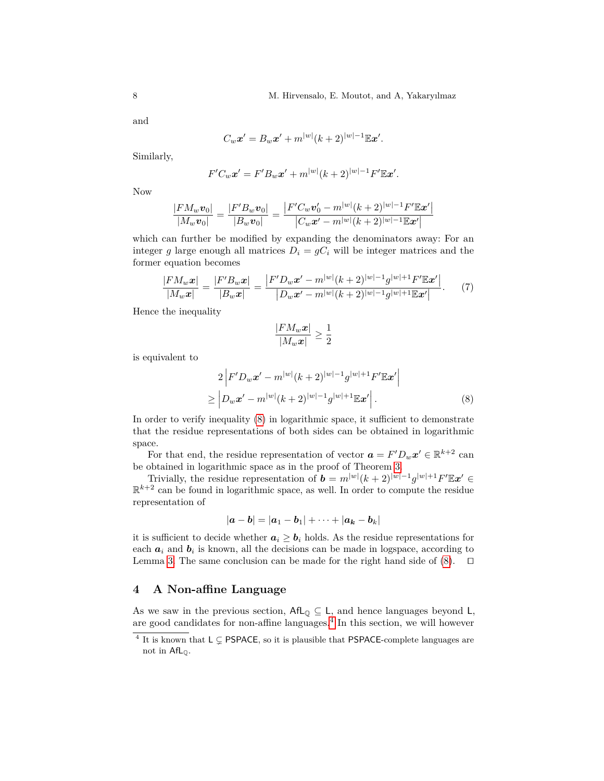and

$$
C_w\boldsymbol{x}' = B_w\boldsymbol{x}' + m^{|w|}(k+2)^{|w|-1}\mathbb{E}\boldsymbol{x}'.
$$

Similarly,

$$
F'C_wx' = F'B_wx' + m^{|w|}(k+2)^{|w|-1}F' \mathbb{E}x'.
$$

Now

$$
\frac{|FM_w\bm{v}_0|}{|M_w\bm{v}_0|} = \frac{|F'B_w\bm{v}_0|}{|B_w\bm{v}_0|} = \frac{|F'C_w\bm{v}_0' - m^{|w|}(k+2)^{|w|-1}F'\mathbb{E}\bm{x}'|}{|C_w\bm{x}' - m^{|w|}(k+2)^{|w|-1}\mathbb{E}\bm{x}'|}
$$

which can further be modified by expanding the denominators away: For an integer *g* large enough all matrices  $D_i = gC_i$  will be integer matrices and the former equation becomes

$$
\frac{|FM_wx|}{|M_wx|} = \frac{|F'B_wx|}{|B_wx|} = \frac{|F'D_wx' - m^{|w|}(k+2)^{|w|-1}g^{|w|+1}F' \mathbb{E}x'|}{|D_wx' - m^{|w|}(k+2)^{|w|-1}g^{|w|+1}\mathbb{E}x'|}.
$$
 (7)

Hence the inequality

$$
\frac{|FM_w\boldsymbol{x}|}{|M_w\boldsymbol{x}|}\geq \frac{1}{2}
$$

is equivalent to

<span id="page-7-0"></span>
$$
2\left|F'D_w\mathbf{x}' - m^{|w|}(k+2)^{|w|-1}g^{|w|+1}F'\mathbb{E}\mathbf{x}'\right|
$$
  
\n
$$
\geq \left|D_w\mathbf{x}' - m^{|w|}(k+2)^{|w|-1}g^{|w|+1}\mathbb{E}\mathbf{x}'\right|.
$$
 (8)

In order to verify inequality [\(8\)](#page-7-0) in logarithmic space, it sufficient to demonstrate that the residue representations of both sides can be obtained in logarithmic space.

For that end, the residue representation of vector  $\mathbf{a} = F'D_w \mathbf{x}' \in \mathbb{R}^{k+2}$  can be obtained in logarithmic space as in the proof of Theorem [3.](#page-4-3)

Trivially, the residue representation of  $\mathbf{b} = m^{|w|}(k+2)^{|w|-1}g^{|w|+1}F'\mathbb{E}x' \in$  $\mathbb{R}^{k+2}$  can be found in logarithmic space, as well. In order to compute the residue representation of

$$
|\boldsymbol{a}-\boldsymbol{b}|=|\boldsymbol{a}_1-\boldsymbol{b}_1|+\cdots+|\boldsymbol{a}_\boldsymbol{k}-\boldsymbol{b}_k|
$$

it is sufficient to decide whether  $a_i \geq b_i$  holds. As the residue representations for each  $a_i$  and  $b_i$  is known, all the decisions can be made in logspace, according to Lemma [3.](#page-5-2) The same conclusion can be made for the right hand side of  $(8)$ .  $\Box$ 

# **4 A Non-affine Language**

As we saw in the previous section,  $\mathsf{AfL}_{\mathbb{O}} \subseteq \mathsf{L}$ , and hence languages beyond  $\mathsf{L}$ , are good candidates for non-affine languages.[4](#page-7-1) In this section, we will however

<span id="page-7-1"></span><sup>&</sup>lt;sup>4</sup> It is known that  $L \subseteq PSPACE$ , so it is plausible that PSPACE-complete languages are not in  $AffL_0$ .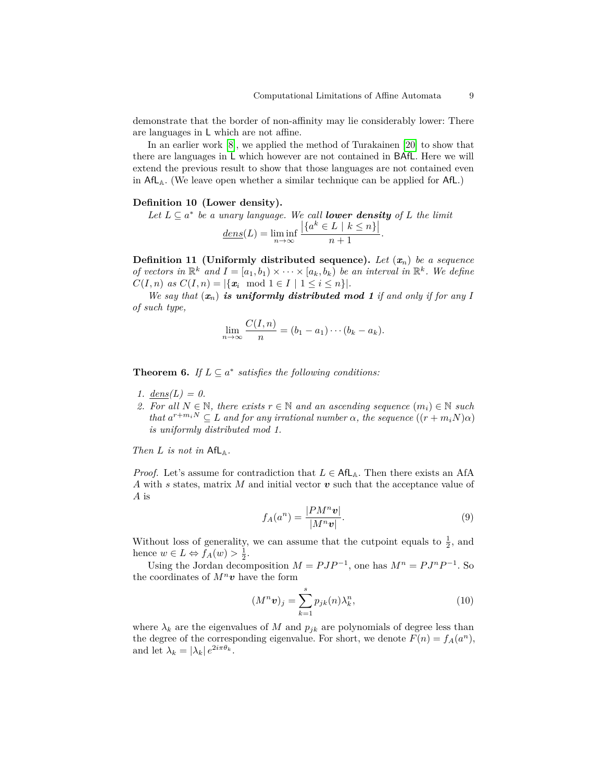demonstrate that the border of non-affinity may lie considerably lower: There are languages in L which are not affine.

In an earlier work [\[8\]](#page-13-5), we applied the method of Turakainen [\[20\]](#page-13-14) to show that there are languages in L which however are not contained in BAfL. Here we will extend the previous result to show that those languages are not contained even in AfLA. (We leave open whether a similar technique can be applied for AfL.)

#### **Definition 10 (Lower density).**

Let 
$$
L \subseteq a^*
$$
 be a unary language. We call **lower density** of L the limit  
\n
$$
\underline{dens}(L) = \liminf_{n \to \infty} \frac{|\{a^k \in L \mid k \leq n\}|}{n+1}.
$$

**Definition 11 (Uniformly distributed sequence).** *Let* (*xn*) *be a sequence of vectors in*  $\mathbb{R}^k$  *and*  $I = [a_1, b_1) \times \cdots \times [a_k, b_k]$  *be an interval in*  $\mathbb{R}^k$ *. We define*  $C(I, n)$  *as*  $C(I, n) = |\{x_i \mod 1 \in I \mid 1 \le i \le n\}|.$ 

We say that  $(x_n)$  is uniformly distributed mod 1 if and only if for any I *of such type,*

$$
\lim_{n \to \infty} \frac{C(I, n)}{n} = (b_1 - a_1) \cdots (b_k - a_k).
$$

<span id="page-8-4"></span>**Theorem 6.** *If*  $L \subseteq a^*$  satisfies the following conditions:

- <span id="page-8-3"></span>*1.*  $dens(L) = 0.$
- <span id="page-8-2"></span>*2.* For all  $N \in \mathbb{N}$ , there exists  $r \in \mathbb{N}$  and an ascending sequence  $(m_i) \in \mathbb{N}$  such *that*  $a^{r+m_iN} \subseteq L$  *and for any irrational number*  $\alpha$ *, the sequence*  $((r+m_iN)\alpha)$ *is uniformly distributed mod 1.*

*Then*  $L$  *is not in*  $AffL_A$ *.* 

<span id="page-8-0"></span>*Proof.* Let's assume for contradiction that  $L \in \mathsf{AfL}_{\mathsf{A}}$ . Then there exists an AfA *A* with *s* states, matrix *M* and initial vector *v* such that the acceptance value of *A* is

$$
f_A(a^n) = \frac{|PM^n v|}{|M^n v|}.
$$
\n(9)

Without loss of generality, we can assume that the cutpoint equals to  $\frac{1}{2}$ , and hence  $w \in L \Leftrightarrow f_A(w) > \frac{1}{2}$ .

Using the Jordan decomposition  $M = PJP^{-1}$ , one has  $M^n = PJ^nP^{-1}$ . So the coordinates of  $M^n v$  have the form

<span id="page-8-1"></span>
$$
(M^n \mathbf{v})_j = \sum_{k=1}^s p_{jk}(n) \lambda_k^n, \tag{10}
$$

where  $\lambda_k$  are the eigenvalues of M and  $p_{jk}$  are polynomials of degree less than the degree of the corresponding eigenvalue. For short, we denote  $F(n) = f_A(a^n)$ , and let  $\lambda_k = |\lambda_k| e^{2i\pi \theta_k}$ .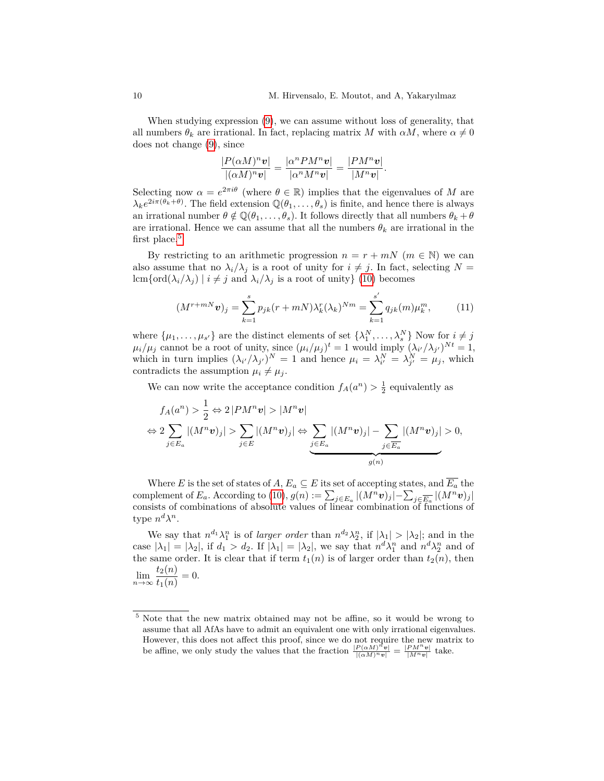*.*

When studying expression [\(9\)](#page-8-0), we can assume without loss of generality, that all numbers  $\theta_k$  are irrational. In fact, replacing matrix *M* with  $\alpha M$ , where  $\alpha \neq 0$ does not change [\(9\)](#page-8-0), since

$$
\frac{|P(\alpha M)^n \mathbf{v}|}{|(\alpha M)^n \mathbf{v}|} = \frac{|\alpha^n P M^n \mathbf{v}|}{|\alpha^n M^n \mathbf{v}|} = \frac{|P M^n \mathbf{v}|}{|M^n \mathbf{v}|}
$$

Selecting now  $\alpha = e^{2\pi i \theta}$  (where  $\theta \in \mathbb{R}$ ) implies that the eigenvalues of *M* are  $\lambda_k e^{2i\pi(\theta_k+\theta)}$ . The field extension  $\mathbb{Q}(\theta_1,\ldots,\theta_s)$  is finite, and hence there is always an irrational number  $\theta \notin \mathbb{Q}(\theta_1, \ldots, \theta_s)$ . It follows directly that all numbers  $\theta_k + \theta$ are irrational. Hence we can assume that all the numbers  $\theta_k$  are irrational in the first place.<sup>[5](#page-9-0)</sup>

By restricting to an arithmetic progression  $n = r + mN$  ( $m \in \mathbb{N}$ ) we can also assume that no  $\lambda_i/\lambda_j$  is a root of unity for  $i \neq j$ . In fact, selecting  $N =$ lcm{ord( $\lambda_i/\lambda_j$ ) |  $i \neq j$  and  $\lambda_i/\lambda_j$  is a root of unity} [\(10\)](#page-8-1) becomes

$$
(M^{r+mN}v)_j = \sum_{k=1}^s p_{jk}(r+mN)\lambda_k^r(\lambda_k)^{Nm} = \sum_{k=1}^{s'} q_{jk}(m)\mu_k^m,
$$
 (11)

where  $\{\mu_1, \ldots, \mu_{s'}\}$  are the distinct elements of set  $\{\lambda_1^N, \ldots, \lambda_s^N\}$  Now for  $i \neq j$  $\mu_i/\mu_j$  cannot be a root of unity, since  $(\mu_i/\mu_j)^t = 1$  would imply  $(\lambda_{i'}/\lambda_{j'})^{Nt} = 1$ , which in turn implies  $(\lambda_{i'}/\lambda_{j'})^N = 1$  and hence  $\mu_i = \lambda_{i'}^N = \lambda_{j'}^N = \mu_j$ , which contradicts the assumption  $\mu_i \neq \mu_j$ .

We can now write the acceptance condition  $f_A(a^n) > \frac{1}{2}$  equivalently as

$$
f_A(a^n) > \frac{1}{2} \Leftrightarrow 2 |PM^n v| > |M^n v|
$$
  

$$
\Leftrightarrow 2 \sum_{j \in E_a} |(M^n v)_j| > \sum_{j \in E} |(M^n v)_j| \Leftrightarrow \sum_{j \in E_a} |(M^n v)_j| - \sum_{j \in E_a} |(M^n v)_j| > 0,
$$

Where *E* is the set of states of *A*,  $E_a \subseteq E$  its set of accepting states, and  $\overline{E_a}$  the complement of *E*<sub>*a*</sub>. According to [\(10\)](#page-8-1),  $g(n) := \sum_{j \in E_a} |(M^n v)_j| - \sum_{j \in \overline{E_a}} |(M^n v)_j|$ consists of combinations of absolute values of linear combination of functions of type  $n^d \lambda^n$ .

We say that  $n^{d_1}\lambda_1^n$  is of *larger order* than  $n^{d_2}\lambda_2^n$ , if  $|\lambda_1| > |\lambda_2|$ ; and in the case  $|\lambda_1| = |\lambda_2|$ , if  $d_1 > d_2$ . If  $|\lambda_1| = |\lambda_2|$ , we say that  $n^d \lambda_1^n$  and  $n^d \lambda_2^n$  and of the same order. It is clear that if term  $t_1(n)$  is of larger order than  $t_2(n)$ , then  $\lim_{n\to\infty}\frac{t_2(n)}{t_1(n)}$  $\frac{t_2(n)}{t_1(n)} = 0.$ 

<span id="page-9-0"></span><sup>5</sup> Note that the new matrix obtained may not be affine, so it would be wrong to assume that all AfAs have to admit an equivalent one with only irrational eigenvalues. However, this does not affect this proof, since we do not require the new matrix to be affine, we only study the values that the fraction  $\frac{|P(\alpha M)^n v|}{|(\alpha M)^n v|} = \frac{|PM^n v|}{|M^n v|}$  take.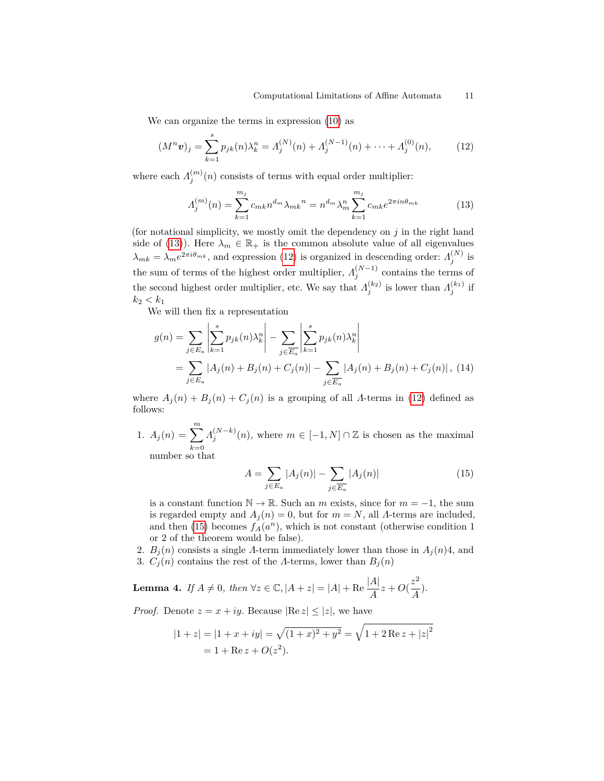We can organize the terms in expression [\(10\)](#page-8-1) as

$$
(M^n \mathbf{v})_j = \sum_{k=1}^s p_{jk}(n) \lambda_k^n = \Lambda_j^{(N)}(n) + \Lambda_j^{(N-1)}(n) + \dots + \Lambda_j^{(0)}(n), \tag{12}
$$

where each  $\Lambda_j^{(m)}(n)$  consists of terms with equal order multiplier:

$$
A_j^{(m)}(n) = \sum_{k=1}^{m_j} c_{mk} n^{d_m} \lambda_{mk}^{n} = n^{d_m} \lambda_m^n \sum_{k=1}^{m_j} c_{mk} e^{2\pi i n \theta_{mk}}
$$
(13)

(for notational simplicity, we mostly omit the dependency on *j* in the right hand side of [\(13\)](#page-10-0)). Here  $\lambda_m \in \mathbb{R}_+$  is the common absolute value of all eigenvalues  $\lambda_{mk} = \lambda_m e^{2\pi i \theta_{mk}}$ , and expression [\(12\)](#page-10-1) is organized in descending order:  $\Lambda_j^{(N)}$  is the sum of terms of the highest order multiplier,  $\Lambda_j^{(N-1)}$  contains the terms of the second highest order multiplier, etc. We say that  $\Lambda_j^{(k_2)}$  is lower than  $\Lambda_j^{(k_1)}$  if  $k_2 < k_1$ 

We will then fix a representation

<span id="page-10-3"></span>
$$
g(n) = \sum_{j \in E_a} \left| \sum_{k=1}^s p_{jk}(n) \lambda_k^n \right| - \sum_{j \in \overline{E_a}} \left| \sum_{k=1}^s p_{jk}(n) \lambda_k^n \right|
$$
  
= 
$$
\sum_{j \in E_a} |A_j(n) + B_j(n) + C_j(n)| - \sum_{j \in \overline{E_a}} |A_j(n) + B_j(n) + C_j(n)|,
$$
 (14)

where  $A_i(n) + B_i(n) + C_i(n)$  is a grouping of all *Λ*-terms in [\(12\)](#page-10-1) defined as follows:

1.  $A_j(n) = \sum_{i=1}^{m}$ *k*=0  $\Lambda_j^{(N-k)}(n)$ , where  $m \in [-1, N] \cap \mathbb{Z}$  is chosen as the maximal number so that

<span id="page-10-2"></span>
$$
A = \sum_{j \in E_a} |A_j(n)| - \sum_{j \in \overline{E_a}} |A_j(n)| \tag{15}
$$

is a constant function  $\mathbb{N} \to \mathbb{R}$ . Such an *m* exists, since for  $m = -1$ , the sum is regarded empty and  $A_j(n) = 0$ , but for  $m = N$ , all *Λ*-terms are included, and then [\(15\)](#page-10-2) becomes  $f_A(a^n)$ , which is not constant (otherwise condition 1) or 2 of the theorem would be false).

2.  $B_j(n)$  consists a single  $\Lambda$ -term immediately lower than those in  $A_j(n)$ 4, and 3.  $C_j(n)$  contains the rest of the *Λ*-terms, lower than  $B_j(n)$ 

<span id="page-10-4"></span>**Lemma 4.** *If*  $A \neq 0$ *, then*  $\forall z \in \mathbb{C}$ *,*  $|A + z| = |A| + \text{Re} \frac{|A|}{A} z + O(\frac{z^2}{A})$  $\frac{1}{\overline{A}}$ ).

*Proof.* Denote  $z = x + iy$ . Because  $|\text{Re } z| \leq |z|$ , we have

$$
|1 + z| = |1 + x + iy| = \sqrt{(1 + x)^2 + y^2} = \sqrt{1 + 2\operatorname{Re} z + |z|^2}
$$
  
= 1 + \operatorname{Re} z + O(z<sup>2</sup>).

<span id="page-10-1"></span><span id="page-10-0"></span>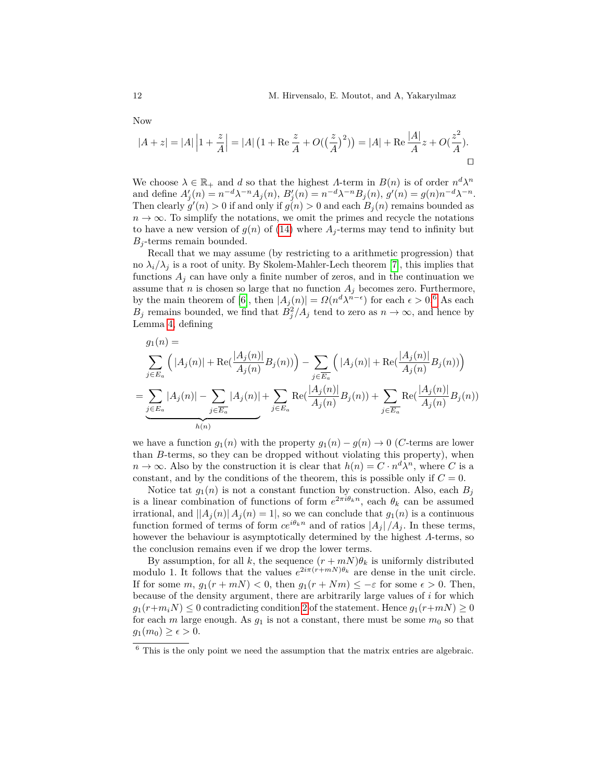Now

$$
|A+z| = |A| \left| 1 + \frac{z}{A} \right| = |A| \left( 1 + \text{Re} \frac{z}{A} + O\left(\left(\frac{z}{A}\right)^2\right) \right) = |A| + \text{Re} \frac{|A|}{A} z + O\left(\frac{z^2}{A}\right).
$$

We choose  $\lambda \in \mathbb{R}_+$  and *d* so that the highest *Λ*-term in  $B(n)$  is of order  $n^d \lambda^n$ and define  $A'_j(n) = n^{-d} \lambda^{-n} A_j(n)$ ,  $B'_j(n) = n^{-d} \lambda^{-n} B_j(n)$ ,  $g'(n) = g(n) n^{-d} \lambda^{-n}$ . Then clearly  $g'(n) > 0$  if and only if  $g(n) > 0$  and each  $B_j(n)$  remains bounded as  $n \to \infty$ . To simplify the notations, we omit the primes and recycle the notations to have a new version of  $g(n)$  of [\(14\)](#page-10-3) where  $A_i$ -terms may tend to infinity but *B<sup>j</sup>* -terms remain bounded.

Recall that we may assume (by restricting to a arithmetic progression) that no  $\lambda_i/\lambda_j$  is a root of unity. By Skolem-Mahler-Lech theorem [\[7\]](#page-13-15), this implies that functions  $A_j$  can have only a finite number of zeros, and in the continuation we assume that *n* is chosen so large that no function  $A_j$  becomes zero. Furthermore, by the main theorem of [\[6\]](#page-13-16), then  $|A_j(n)| = \Omega(n^d \lambda^{n-\epsilon})$  for each  $\epsilon > 0.6$  $\epsilon > 0.6$  As each *B*<sup>*j*</sup> remains bounded, we find that  $B_j^2/A_j$  tend to zero as  $n \to \infty$ , and hence by Lemma [4,](#page-10-4) defining

$$
g_1(n) = \sum_{j \in E_a} (|A_j(n)| + \text{Re}(\frac{|A_j(n)|}{A_j(n)}B_j(n)) - \sum_{j \in \overline{E_a}} (|A_j(n)| + \text{Re}(\frac{|A_j(n)|}{A_j(n)}B_j(n))))
$$
  
= 
$$
\sum_{j \in E_a} |A_j(n)| - \sum_{j \in \overline{E_a}} |A_j(n)| + \sum_{j \in E_a} \text{Re}(\frac{|A_j(n)|}{A_j(n)}B_j(n)) + \sum_{j \in \overline{E_a}} \text{Re}(\frac{|A_j(n)|}{A_j(n)}B_j(n))
$$

we have a function  $g_1(n)$  with the property  $g_1(n) - g(n) \to 0$  (*C*-terms are lower than *B*-terms, so they can be dropped without violating this property), when  $n \to \infty$ . Also by the construction it is clear that  $h(n) = C \cdot n^d \lambda^n$ , where *C* is a constant, and by the conditions of the theorem, this is possible only if  $C = 0$ .

Notice tat  $g_1(n)$  is not a constant function by construction. Also, each  $B_i$ is a linear combination of functions of form  $e^{2\pi i \theta_k n}$ , each  $\theta_k$  can be assumed irrational, and  $||A_j(n)||A_j(n) = 1$ , so we can conclude that  $g_1(n)$  is a continuous function formed of terms of form  $ce^{i\theta_k n}$  and of ratios  $|A_i|/A_i$ . In these terms, however the behaviour is asymptotically determined by the highest *Λ*-terms, so the conclusion remains even if we drop the lower terms.

By assumption, for all *k*, the sequence  $(r + mN)\theta_k$  is uniformly distributed modulo 1. It follows that the values  $e^{2i\pi(r+mN)\theta_k}$  are dense in the unit circle. If for some  $m, g_1(r + mN) < 0$ , then  $g_1(r + Nm) \leq -\varepsilon$  for some  $\epsilon > 0$ . Then, because of the density argument, there are arbitrarily large values of *i* for which  $g_1(r+m_iN) \leq 0$  contradicting condition [2](#page-8-2) of the statement. Hence  $g_1(r+mN) \geq 0$ for each *m* large enough. As  $g_1$  is not a constant, there must be some  $m_0$  so that  $g_1(m_0) \geq \epsilon > 0.$ 

<span id="page-11-0"></span> $6$  This is the only point we need the assumption that the matrix entries are algebraic.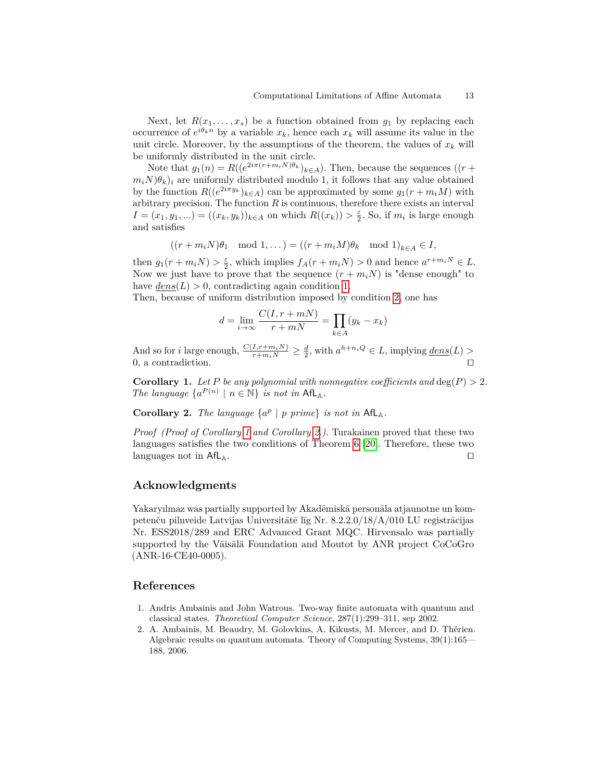Next, let  $R(x_1, \ldots, x_s)$  be a function obtained from  $g_1$  by replacing each occurrence of  $e^{i\theta_k n}$  by a variable  $x_k$ , hence each  $x_k$  will assume its value in the unit circle. Moreover, by the assumptions of the theorem, the values of  $x_k$  will be uniformly distributed in the unit circle.

Note that  $g_1(n) = R((e^{2i\pi(r+m_iN)\theta_k})_{k \in A})$ . Then, because the sequences  $((r +$  $m_iN(\theta_k)_i$  are uniformly distributed modulo 1, it follows that any value obtained by the function  $R((e^{2i\pi y_k})_{k\in A})$  can be approximated by some  $g_1(r+m_iM)$  with arbitrary precision. The function  $R$  is continuous, therefore there exists an interval *I* =  $(x_1, y_1, ...)$  =  $((x_k, y_k))_{k \in A}$  on which  $R((x_k)) > \frac{\varepsilon}{2}$ . So, if  $m_i$  is large enough and satisfies

$$
((r+m_iN)\theta_1 \mod 1,\dots) = ((r+m_iM)\theta_k \mod 1)_{k\in A} \in I,
$$

then  $g_1(r + m_i N) > \frac{\varepsilon}{2}$ , which implies  $f_A(r + m_i N) > 0$  and hence  $a^{r+m_i N} \in L$ . Now we just have to prove that the sequence  $(r + m_i N)$  is "dense enough" to have  $dens(L) > 0$ , contradicting again condition [1.](#page-8-3)

Then, because of uniform distribution imposed by condition [2,](#page-8-2) one has

$$
d = \lim_{i \to \infty} \frac{C(I, r + mN)}{r + mN} = \prod_{k \in A} (y_k - x_k)
$$

And so for *i* large enough,  $\frac{C(I,r+m_iN)}{r+m_iN} \geq \frac{d}{2}$ , with  $a^{h+n_iQ} \in L$ , implying  $\underline{dens}(L)$  $0.$  a contradiction.

<span id="page-12-1"></span>**Corollary 1.** Let P be any polynomial with nonnegative coefficients and  $\deg(P) > 2$ . *The language*  $\{a^{P(n)} \mid n \in \mathbb{N}\}\$ is not in  $\mathsf{AfL}_{\mathbb{A}}$ .

<span id="page-12-2"></span>**Corollary 2.** *The language*  $\{a^p \mid p \text{ prime}\}$  *is not in*  $\text{AfL}_A$ *.* 

*Proof (Proof of Corollary [1](#page-12-1) and Corollary [2.](#page-12-2)).* Turakainen proved that these two languages satisfies the two conditions of Theorem [6](#page-8-4) [\[20\]](#page-13-14). Therefore, these two languages not in  $\mathsf{AfL}_\mathbb{A}$ .

### **Acknowledgments**

Yakaryılmaz was partially supported by Akadēmiskā personāla atjaunotne un kompetenču pilnveide Latvijas Universitātē līg Nr. 8.2.2.0/18/A/010 LU reģistrācijas Nr. ESS2018/289 and ERC Advanced Grant MQC. Hirvensalo was partially supported by the Väisälä Foundation and Moutot by ANR project CoCoGro (ANR-16-CE40-0005).

# **References**

- 1. Andris Ambainis and John Watrous. Two-way finite automata with quantum and classical states. *Theoretical Computer Science*, 287(1):299–311, sep 2002.
- <span id="page-12-0"></span>2. A. Ambainis, M. Beaudry, M. Golovkins, A. Kikusts, M. Mercer, and D. Thérien. Algebraic results on quantum automata. Theory of Computing Systems, 39(1):165— 188, 2006.